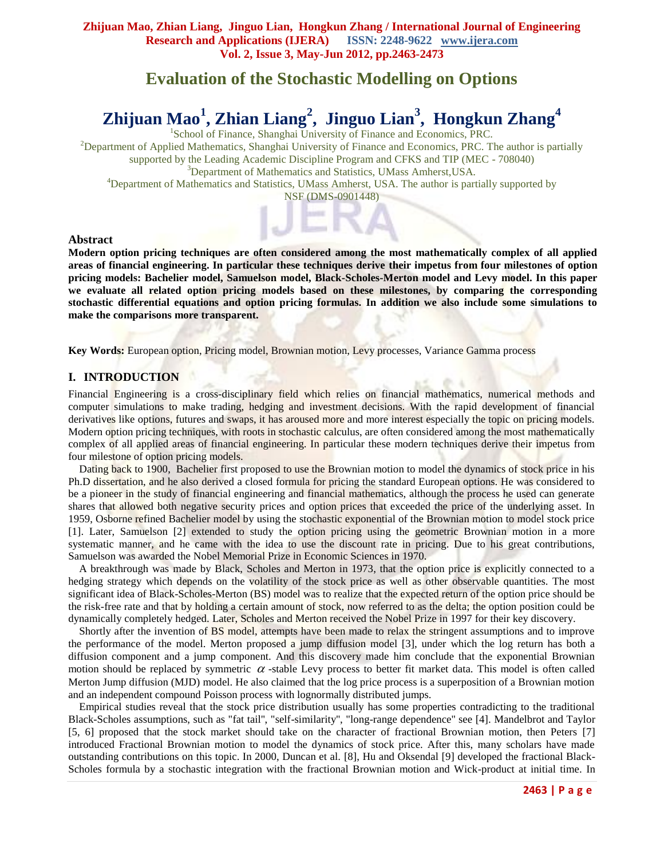## **Evaluation of the Stochastic Modelling on Options**

# **Zhijuan Mao<sup>1</sup> , Zhian Liang<sup>2</sup> , Jinguo Lian<sup>3</sup> , Hongkun Zhang<sup>4</sup>**

<sup>1</sup>School of Finance, Shanghai University of Finance and Economics, PRC. <sup>2</sup>Department of Applied Mathematics, Shanghai University of Finance and Economics, PRC. The author is partially supported by the Leading Academic Discipline Program and CFKS and TIP (MEC - 708040) <sup>3</sup>Department of Mathematics and Statistics, UMass Amherst, USA. <sup>4</sup>Department of Mathematics and Statistics, UMass Amherst, USA. The author is partially supported by NSF (DMS-0901448)

#### **Abstract**

**Modern option pricing techniques are often considered among the most mathematically complex of all applied areas of financial engineering. In particular these techniques derive their impetus from four milestones of option pricing models: Bachelier model, Samuelson model, Black-Scholes-Merton model and Levy model. In this paper we evaluate all related option pricing models based on these milestones, by comparing the corresponding stochastic differential equations and option pricing formulas. In addition we also include some simulations to make the comparisons more transparent.**

**Key Words:** European option, Pricing model, Brownian motion, Levy processes, Variance Gamma process

## **I. INTRODUCTION**

Financial Engineering is a cross-disciplinary field which relies on financial mathematics, numerical methods and computer simulations to make trading, hedging and investment decisions. With the rapid development of financial derivatives like options, futures and swaps, it has aroused more and more interest especially the topic on pricing models. Modern option pricing techniques, with roots in stochastic calculus, are often considered among the most mathematically complex of all applied areas of financial engineering. In particular these modern techniques derive their impetus from four milestone of option pricing models.

 Dating back to 1900, Bachelier first proposed to use the Brownian motion to model the dynamics of stock price in his Ph.D dissertation, and he also derived a closed formula for pricing the standard European options. He was considered to be a pioneer in the study of financial engineering and financial mathematics, although the process he used can generate shares that allowed both negative security prices and option prices that exceeded the price of the underlying asset. In 1959, Osborne refined Bachelier model by using the stochastic exponential of the Brownian motion to model stock price [1]. Later, Samuelson [2] extended to study the option pricing using the geometric Brownian motion in a more systematic manner, and he came with the idea to use the discount rate in pricing. Due to his great contributions, Samuelson was awarded the Nobel Memorial Prize in Economic Sciences in 1970.

 A breakthrough was made by Black, Scholes and Merton in 1973, that the option price is explicitly connected to a hedging strategy which depends on the volatility of the stock price as well as other observable quantities. The most significant idea of Black-Scholes-Merton (BS) model was to realize that the expected return of the option price should be the risk-free rate and that by holding a certain amount of stock, now referred to as the delta; the option position could be dynamically completely hedged. Later, Scholes and Merton received the Nobel Prize in 1997 for their key discovery.

 Shortly after the invention of BS model, attempts have been made to relax the stringent assumptions and to improve the performance of the model. Merton proposed a jump diffusion model [3], under which the log return has both a diffusion component and a jump component. And this discovery made him conclude that the exponential Brownian motion should be replaced by symmetric  $\alpha$ -stable Levy process to better fit market data. This model is often called Merton Jump diffusion (MJD) model. He also claimed that the log price process is a superposition of a Brownian motion and an independent compound Poisson process with lognormally distributed jumps.

 Empirical studies reveal that the stock price distribution usually has some properties contradicting to the traditional Black-Scholes assumptions, such as "fat tail'', "self-similarity'', "long-range dependence'' see [4]. Mandelbrot and Taylor [5, 6] proposed that the stock market should take on the character of fractional Brownian motion, then Peters [7] introduced Fractional Brownian motion to model the dynamics of stock price. After this, many scholars have made outstanding contributions on this topic. In 2000, Duncan et al. [8], Hu and Oksendal [9] developed the fractional Black-Scholes formula by a stochastic integration with the fractional Brownian motion and Wick-product at initial time. In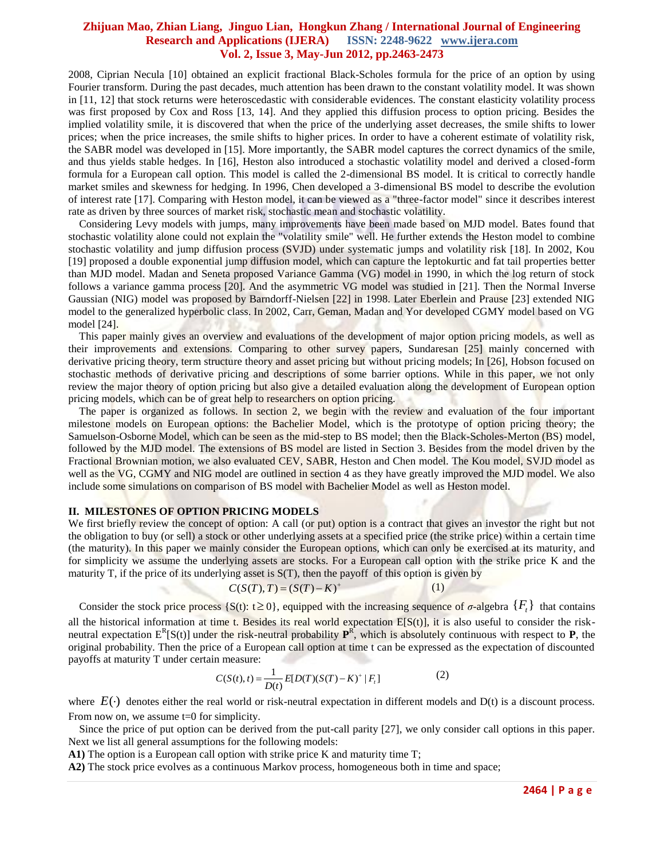2008, Ciprian Necula [10] obtained an explicit fractional Black-Scholes formula for the price of an option by using Fourier transform. During the past decades, much attention has been drawn to the constant volatility model. It was shown in [11, 12] that stock returns were heteroscedastic with considerable evidences. The constant elasticity volatility process was first proposed by Cox and Ross [13, 14]. And they applied this diffusion process to option pricing. Besides the implied volatility smile, it is discovered that when the price of the underlying asset decreases, the smile shifts to lower prices; when the price increases, the smile shifts to higher prices. In order to have a coherent estimate of volatility risk, the SABR model was developed in [15]. More importantly, the SABR model captures the correct dynamics of the smile, and thus yields stable hedges. In [16], Heston also introduced a stochastic volatility model and derived a closed-form formula for a European call option. This model is called the 2-dimensional BS model. It is critical to correctly handle market smiles and skewness for hedging. In 1996, Chen developed a 3-dimensional BS model to describe the evolution of interest rate [17]. Comparing with Heston model, it can be viewed as a "three-factor model" since it describes interest rate as driven by three sources of market risk, stochastic mean and stochastic volatility.

 Considering Levy models with jumps, many improvements have been made based on MJD model. Bates found that stochastic volatility alone could not explain the "volatility smile" well. He further extends the Heston model to combine stochastic volatility and jump diffusion process (SVJD) under systematic jumps and volatility risk [18]. In 2002, Kou [19] proposed a double exponential jump diffusion model, which can capture the leptokurtic and fat tail properties better than MJD model. Madan and Seneta proposed Variance Gamma (VG) model in 1990, in which the log return of stock follows a variance gamma process [20]. And the asymmetric VG model was studied in [21]. Then the Normal Inverse Gaussian (NIG) model was proposed by Barndorff-Nielsen [22] in 1998. Later Eberlein and Prause [23] extended NIG model to the generalized hyperbolic class. In 2002, Carr, Geman, Madan and Yor developed CGMY model based on VG model [24].

This paper mainly gives an overview and evaluations of the development of major option pricing models, as well as their improvements and extensions. Comparing to other survey papers, Sundaresan [25] mainly concerned with derivative pricing theory, term structure theory and asset pricing but without pricing models; In [26], Hobson focused on stochastic methods of derivative pricing and descriptions of some barrier options. While in this paper, we not only review the major theory of option pricing but also give a detailed evaluation along the development of European option pricing models, which can be of great help to researchers on option pricing.

 The paper is organized as follows. In section 2, we begin with the review and evaluation of the four important milestone models on European options: the Bachelier Model, which is the prototype of option pricing theory; the Samuelson-Osborne Model, which can be seen as the mid-step to BS model; then the Black-Scholes-Merton (BS) model, followed by the MJD model. The extensions of BS model are listed in Section 3. Besides from the model driven by the Fractional Brownian motion, we also evaluated CEV, SABR, Heston and Chen model. The Kou model, SVJD model as well as the VG, CGMY and NIG model are outlined in section 4 as they have greatly improved the MJD model. We also include some simulations on comparison of BS model with Bachelier Model as well as Heston model.

#### **II. MILESTONES OF OPTION PRICING MODELS**

We first briefly review the concept of option: A call (or put) option is a contract that gives an investor the right but not the obligation to buy (or sell) a stock or other underlying assets at a specified price (the strike price) within a certain time (the maturity). In this paper we mainly consider the European options, which can only be exercised at its maturity, and for simplicity we assume the underlying assets are stocks. For a European call option with the strike price K and the maturity  $T$ , if the price of its underlying asset is  $S(T)$ , then the payoff of this option is given by

$$
C(S(T), T) = (S(T) - K)^{+}
$$
 (1)

Consider the stock price process {S(t):  $t \ge 0$ }, equipped with the increasing sequence of  $\sigma$ -algebra  $\{F_t\}$  that contains all the historical information at time t. Besides its real world expectation  $E[S(t)]$ , it is also useful to consider the riskneutral expectation  $E^R[S(t)]$  under the risk-neutral probability  $P^R$ , which is absolutely continuous with respect to **P**, the original probability. Then the price of a European call option at time t can be expressed as the expectation of discounted payoffs at maturity T under certain measure:

n measure:  
\n
$$
C(S(t), t) = \frac{1}{D(t)} E[D(T)(S(T) - K)^{+} | F_{t}]
$$
\n(2)

where  $E(\cdot)$  denotes either the real world or risk-neutral expectation in different models and  $D(t)$  is a discount process. From now on, we assume t=0 for simplicity.

 Since the price of put option can be derived from the put-call parity [27], we only consider call options in this paper. Next we list all general assumptions for the following models:

**A1)** The option is a European call option with strike price K and maturity time T;

**A2)** The stock price evolves as a continuous Markov process, homogeneous both in time and space;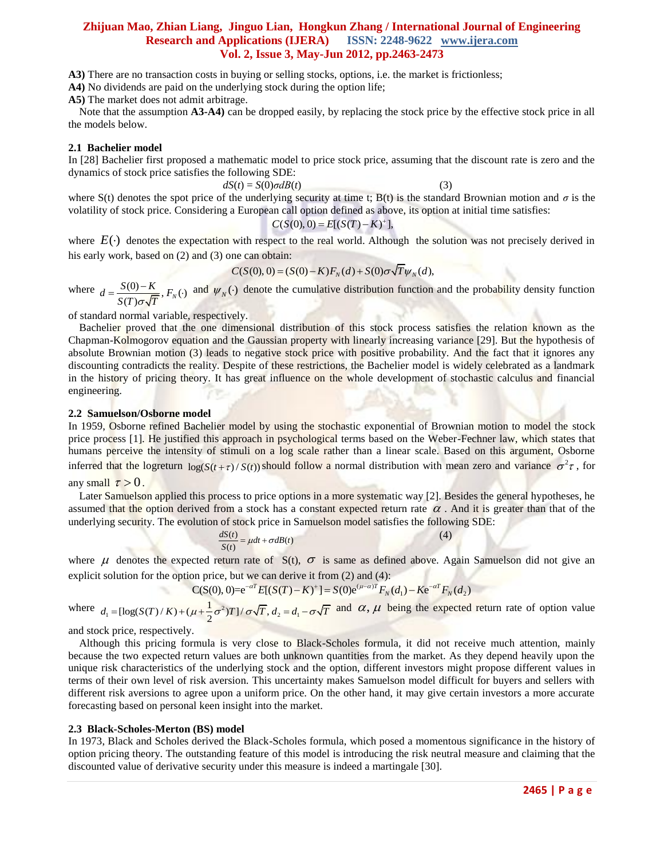**A3)** There are no transaction costs in buying or selling stocks, options, i.e. the market is frictionless;

**A4)** No dividends are paid on the underlying stock during the option life;

**A5)** The market does not admit arbitrage.

 Note that the assumption **A3-A4)** can be dropped easily, by replacing the stock price by the effective stock price in all the models below.

#### **2.1 Bachelier model**

In [28] Bachelier first proposed a mathematic model to price stock price, assuming that the discount rate is zero and the dynamics of stock price satisfies the following SDE:

 $dS(t) = S(0)\sigma dB(t)$  (3)

where S(t) denotes the spot price of the underlying security at time t; B(t) is the standard Brownian motion and  $\sigma$  is the volatility of stock price. Considering a European call option defined as above, its option at initial time satisfies:<br> $C(S(0), 0) = E[(S(T) - K)^+]$ ,

$$
C(S(0), 0) = E[(S(T) - K)^{+}]
$$

where  $E(\cdot)$  denotes the expectation with respect to the real world. Although the solution was not precisely derived in his early work, based on (2) and (3) one can obtain: me can obtain:<br> $C(S(0), 0) = (S(0) - K)F_N(d) + S(0)\sigma \sqrt{T} \psi_N(d),$ 

$$
C(S(0), 0) = (S(0) - K)F_{N}(d) + S(0)\sigma\sqrt{T}\psi_{N}(d),
$$

where  $d = \frac{S(0) - K}{\sqrt{2\pi} \sqrt{m}}$ ,  $F_N(\cdot)$  $\overline{(T)\sigma}\sqrt{\overline{T}}$ <sup>,  $\overline{\Gamma}_N$ </sup>  $d = \frac{S(0) - K}{\sqrt{m}}$ ,  $F<sub>k</sub>$  $S(T) \sigma \sqrt{T}$  $=\frac{S(0)-K}{\sqrt{1-\mu}}$ ,  $F_N(\cdot)$  and  $\psi_N(\cdot)$  denote the cumulative distribution function and the probability density function

of standard normal variable, respectively.

 Bachelier proved that the one dimensional distribution of this stock process satisfies the relation known as the Chapman-Kolmogorov equation and the Gaussian property with linearly increasing variance [29]. But the hypothesis of absolute Brownian motion (3) leads to negative stock price with positive probability. And the fact that it ignores any discounting contradicts the reality. Despite of these restrictions, the Bachelier model is widely celebrated as a landmark in the history of pricing theory. It has great influence on the whole development of stochastic calculus and financial engineering.

#### **2.2 Samuelson/Osborne model**

In 1959, Osborne refined Bachelier model by using the stochastic exponential of Brownian motion to model the stock price process [1]. He justified this approach in psychological terms based on the Weber-Fechner law, which states that humans perceive the intensity of stimuli on a log scale rather than a linear scale. Based on this argument, Osborne inferred that the logreturn  $log(S(t+\tau)/S(t))$  should follow a normal distribution with mean zero and variance  $\sigma^2 \tau$ , for any small  $\tau > 0$ .

Later Samuelson applied this process to price options in a more systematic way [2]. Besides the general hypotheses, he assumed that the option derived from a stock has a constant expected return rate  $\alpha$ . And it is greater than that of the underlying security. The evolution of stock price in Samuelson model satisfies the following SDE:

$$
\frac{dS(t)}{S(t)} = \mu dt + \sigma dB(t)
$$
 (4)

where  $\mu$  denotes the expected return rate of S(t),  $\sigma$  is same as defined above. Again Samuelson did not give an explicit solution for the option price, but we can derive it from (2) and (4):<br>  $C(S(0), 0) = e^{-\alpha T} E[(S(T) - K)^+]$ explicit solution for the option price, but we can derive it from (2) and (4):

$$
C(S(0), 0) = e^{-\alpha T} E[(S(T) - K)^+] = S(0)e^{(\mu - \alpha)T} F_N(d_1) - K e^{-\alpha T} F_N(d_2)
$$

where  $d_1 = [\log(S(T)/K) + (\mu + \frac{1}{2}\sigma^2)T]/\sigma\sqrt{T}, d_2 = d_1$  $C(S(0), 0)=e^{-\alpha T}E[(S(T)-K)^+] = S(0$ <br>  $d_1 = [\log(S(T)/K) + (\mu + \frac{1}{2}\sigma^2)T]/\sigma\sqrt{T}, d_2 = d_1 - \sigma\sqrt{T}$  and and  $\alpha$ ,  $\mu$  being the expected return rate of option value

and stock price, respectively.

 Although this pricing formula is very close to Black-Scholes formula, it did not receive much attention, mainly because the two expected return values are both unknown quantities from the market. As they depend heavily upon the unique risk characteristics of the underlying stock and the option, different investors might propose different values in terms of their own level of risk aversion. This uncertainty makes Samuelson model difficult for buyers and sellers with different risk aversions to agree upon a uniform price. On the other hand, it may give certain investors a more accurate forecasting based on personal keen insight into the market.

#### **2.3 Black-Scholes-Merton (BS) model**

In 1973, Black and Scholes derived the Black-Scholes formula, which posed a momentous significance in the history of option pricing theory. The outstanding feature of this model is introducing the risk neutral measure and claiming that the discounted value of derivative security under this measure is indeed a martingale [30].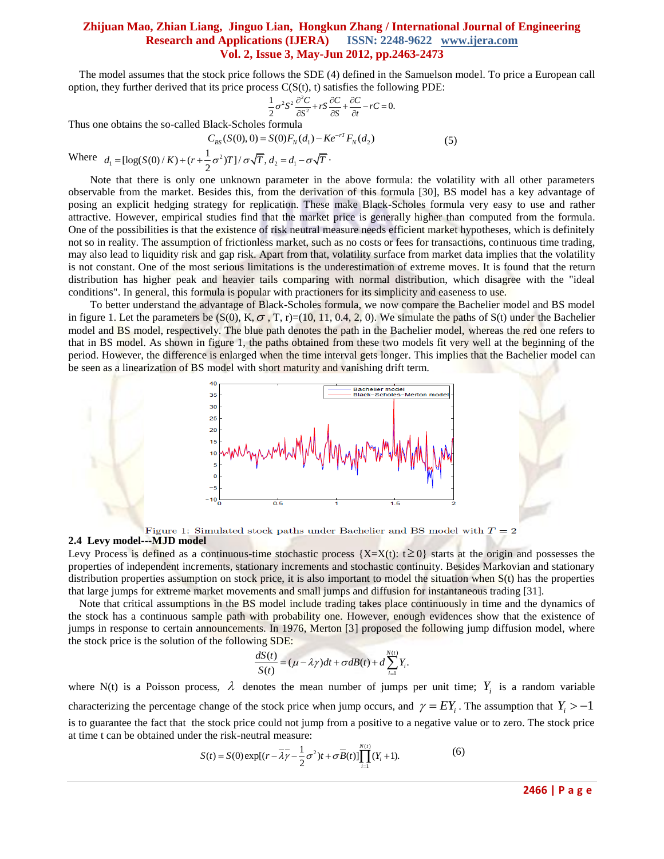The model assumes that the stock price follows the SDE (4) defined in the Samuelson model. To price a European call option, they further derived that its price process  $C(S(t), t)$  satisfies the following PDE:<br> $\frac{1}{2}\sigma^2 S^2 \frac{\partial^2 C}{\partial S^2} + rS \frac{\partial C}{\partial S} + \frac{\partial C}{\partial t} - rC = 0$ .

$$
\frac{1}{2}\sigma^2 S^2 \frac{\partial^2 C}{\partial S^2} + rS \frac{\partial C}{\partial S} + \frac{\partial C}{\partial t} - rC = 0.
$$

Thus one obtains the so-called Black-Scholes formula  

$$
C_{BS}(S(0),0) = S(0)F_N(d_1) - Ke^{-rT}F_N(d_2)
$$
(5)

Where  $d_1 = [\log(S(0)/K) + (r + \frac{1}{2}\sigma^2)T]/\sigma\sqrt{T}, d_2 = d_1$  $C_{BS}(S(0), 0) = S(0)F_N(d_1) - Ke^{-rT}$ <br>  $d_1 = [\log(S(0)/K) + (r + \frac{1}{2}\sigma^2)T]/\sigma\sqrt{T}, d_2 = d_1 - \sigma\sqrt{T}.$ 

Note that there is only one unknown parameter in the above formula: the volatility with all other parameters observable from the market. Besides this, from the derivation of this formula [30], BS model has a key advantage of posing an explicit hedging strategy for replication. These make Black-Scholes formula very easy to use and rather attractive. However, empirical studies find that the market price is generally higher than computed from the formula. One of the possibilities is that the existence of risk neutral measure needs efficient market hypotheses, which is definitely not so in reality. The assumption of frictionless market, such as no costs or fees for transactions, continuous time trading, may also lead to liquidity risk and gap risk. Apart from that, volatility surface from market data implies that the volatility is not constant. One of the most serious limitations is the underestimation of extreme moves. It is found that the return distribution has higher peak and heavier tails comparing with normal distribution, which disagree with the "ideal conditions". In general, this formula is popular with practioners for its simplicity and easeness to use.

To better understand the advantage of Black-Scholes formula, we now compare the Bachelier model and BS model in figure 1. Let the parameters be  $(S(0), K, \sigma, T, r)=(10, 11, 0.4, 2, 0)$ . We simulate the paths of  $S(t)$  under the Bachelier model and BS model, respectively. The blue path denotes the path in the Bachelier model, whereas the red one refers to that in BS model. As shown in figure 1, the paths obtained from these two models fit very well at the beginning of the period. However, the difference is enlarged when the time interval gets longer. This implies that the Bachelier model can be seen as a linearization of BS model with short maturity and vanishing drift term.



Figure 1: Simulated stock paths under Bachelier and BS model with  $T=2$ 

#### **2.4 Levy model---MJD model**

Levy Process is defined as a continuous-time stochastic process  $\{X=X(t): t\geq 0\}$  starts at the origin and possesses the properties of independent increments, stationary increments and stochastic continuity. Besides Markovian and stationary distribution properties assumption on stock price, it is also important to model the situation when S(t) has the properties that large jumps for extreme market movements and small jumps and diffusion for instantaneous trading [31].

 Note that critical assumptions in the BS model include trading takes place continuously in time and the dynamics of the stock has a continuous sample path with probability one. However, enough evidences show that the existence of jumps in response to certain announcements. In 1976, Merton [3] proposed the following jump diffusion model, where the stock price is the solution of the following SDE:

$$
\frac{dS(t)}{S(t)} = (\mu - \lambda \gamma)dt + \sigma dB(t) + d \sum_{i=1}^{N(t)} Y_i.
$$

where N(t) is a Poisson process,  $\lambda$  denotes the mean number of jumps per unit time;  $Y_i$  is a random variable characterizing the percentage change of the stock price when jump occurs, and  $\gamma = EY_i$ . The assumption that  $Y_i > -1$ is to guarantee the fact that the stock price could not jump from a positive to a negative value or to zero. The stock price

at time t can be obtained under the risk-neutral measure:  
\n
$$
S(t) = S(0) \exp[(r - \overline{\lambda}\overline{\gamma} - \frac{1}{2}\sigma^2)t + \sigma\overline{B}(t)]\prod_{i=1}^{N(t)}(Y_i + 1).
$$
\n(6)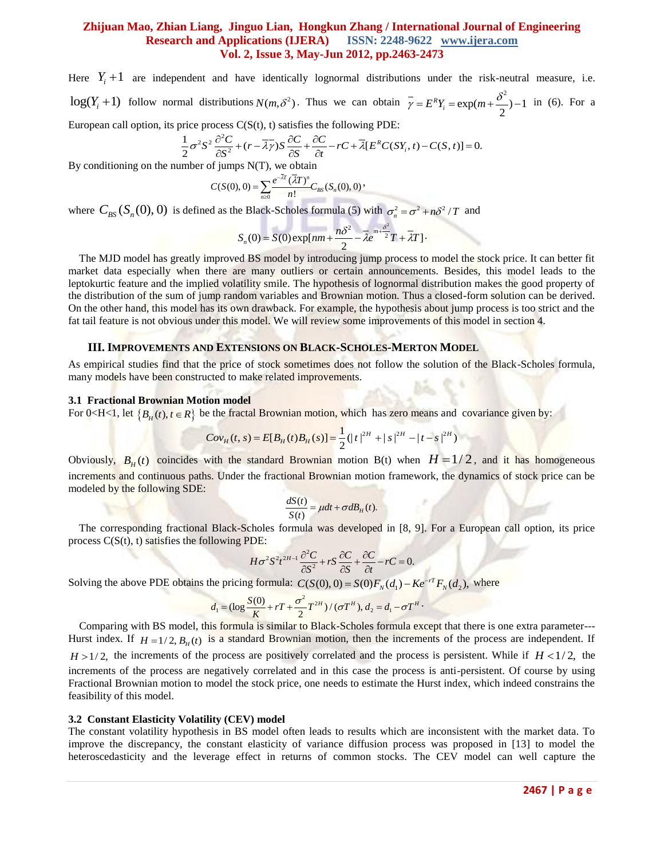Here  $Y_i + 1$  are independent and have identically lognormal distributions under the risk-neutral measure, i.e. log( $Y_i + 1$ ) follow normal distributions  $N(m, \delta^2)$ . Thus we can obtain  $\overline{\gamma} = E^R Y_i = \exp(m + \frac{\delta^2}{2}) - 1$  in (6). For a European call option, its price process C(S(t), t) satisfies the following PDE:<br> $\frac{1}{2}\sigma^2 S^2 \frac{\partial^2 C}{\$ 

European call option, its price process C(S(t), t) satisfies the following PDE:<br>  $\frac{1}{2}\sigma^2S^2\frac{\partial^2 C}{\partial \rho^2} + (r - \overline{\lambda}\gamma)S\frac{\partial C}{\partial \rho} + \frac{\partial C}{\partial \rho} - rC + \overline{\lambda}E^RC(S)$ 

rice process C(S(t), t) satisfies the following PDE:  
\n
$$
\frac{1}{2}\sigma^2 S^2 \frac{\partial^2 C}{\partial S^2} + (r - \overline{\lambda y}) S \frac{\partial C}{\partial S} + \frac{\partial C}{\partial t} - rC + \overline{\lambda} [E^R C(SY_i, t) - C(S, t)] = 0.
$$
\nwhere of jumps N(T) we obtain

By conditioning on the number of jumps N(T), we obtain  
\n
$$
C(S(0), 0) = \sum_{n\geq 0} \frac{e^{-\overline{\lambda}T} (\overline{\lambda}T)^n}{n!} C_{BS}(S_n(0), 0)
$$

where  $C_{BS}(S_n(0), 0)$  is defined as the Black-Scholes formula (5) with  $\sigma_n^2 = \sigma^2 + n\delta^2/T$  and

$$
S_n(0) = S(0) \exp[nm + \frac{n\delta^2}{2} - \bar{\lambda}e^{m + \frac{\delta^2}{2}}T + \bar{\lambda}T].
$$

 The MJD model has greatly improved BS model by introducing jump process to model the stock price. It can better fit market data especially when there are many outliers or certain announcements. Besides, this model leads to the leptokurtic feature and the implied volatility smile. The hypothesis of lognormal distribution makes the good property of the distribution of the sum of jump random variables and Brownian motion. Thus a closed-form solution can be derived. On the other hand, this model has its own drawback. For example, the hypothesis about jump process is too strict and the fat tail feature is not obvious under this model. We will review some improvements of this model in section 4.

## **III. IMPROVEMENTS AND EXTENSIONS ON BLACK-SCHOLES-MERTON MODEL**

As empirical studies find that the price of stock sometimes does not follow the solution of the Black-Scholes formula, many models have been constructed to make related improvements.

#### **3.1 Fractional Brownian Motion model**

For 0<sub>0</sub><sub>0</sub><sub>0</sub> let {
$$
B_H(t)
$$
,  $t \in R$ } be the fractal Brownian motion, which has zero means and covariance given by:  

$$
Cov_H(t, s) = E[B_H(t)B_H(s)] = \frac{1}{2}(|t|^{2H} + |s|^{2H} - |t - s|^{2H})
$$

Obviously,  $B_H(t)$  coincides with the standard Brownian motion B(t) when  $H = 1/2$ , and it has homogeneous increments and continuous paths. Under the fractional Brownian motion framework, the dynamics of stock price can be modeled by the following SDE:

$$
\frac{dS(t)}{S(t)} = \mu dt + \sigma dB_H(t).
$$

 The corresponding fractional Black-Scholes formula was developed in [8, 9]. For a European call option, its price process  $C(S(t), t)$  satisfies the following PDE:

$$
H\sigma^2 S^2 t^{2H-1} \frac{\partial^2 C}{\partial S^2} + rS \frac{\partial C}{\partial S} + \frac{\partial C}{\partial t} - rC = 0.
$$

Solving the above PDE obtains the pricing formula:  $C(S(0), 0) = S(0)F_N(d_1) - Ke^{-rT}F_N(d_2)$ , where  $d_1 = (\log \frac{S(0)}{K} + rT + \frac{\sigma^2}{2}T^{2H})/(\sigma T^H), d_2 = d_1 - \sigma T^H$ .

$$
d_1 = (\log \frac{S(0)}{K} + rT + \frac{\sigma^2}{2}T^{2H}) / (\sigma T^H), d_2 = d_1 - \sigma T^H.
$$

 Comparing with BS model, this formula is similar to Black-Scholes formula except that there is one extra parameter--- Hurst index. If  $H = 1/2$ ,  $B<sub>H</sub>(t)$  is a standard Brownian motion, then the increments of the process are independent. If  $H > 1/2$ , the increments of the process are positively correlated and the process is persistent. While if  $H < 1/2$ , the increments of the process are negatively correlated and in this case the process is anti-persistent. Of course by using Fractional Brownian motion to model the stock price, one needs to estimate the Hurst index, which indeed constrains the feasibility of this model.

#### **3.2 Constant Elasticity Volatility (CEV) model**

The constant volatility hypothesis in BS model often leads to results which are inconsistent with the market data. To improve the discrepancy, the constant elasticity of variance diffusion process was proposed in [13] to model the heteroscedasticity and the leverage effect in returns of common stocks. The CEV model can well capture the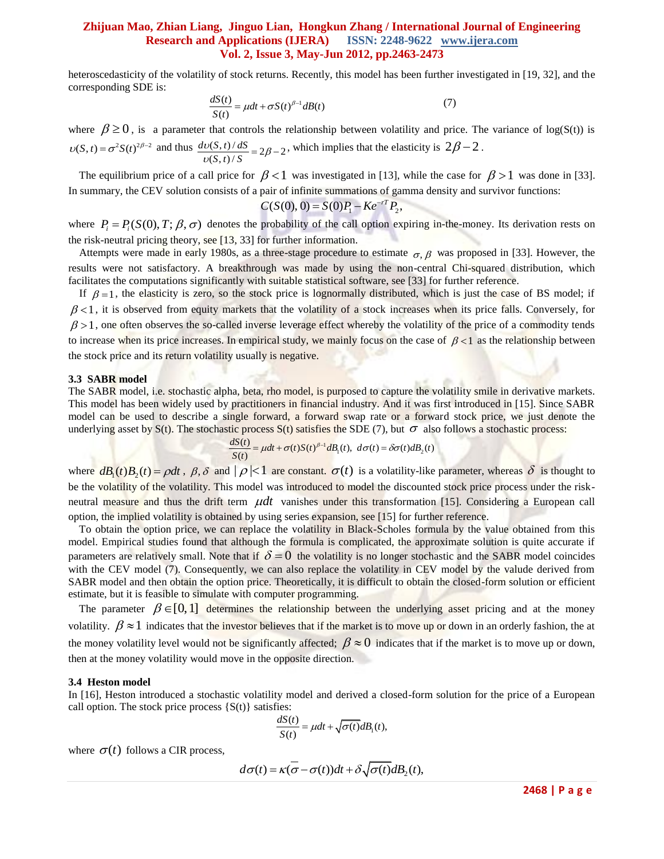heteroscedasticity of the volatility of stock returns. Recently, this model has been further investigated in [19, 32], and the corresponding SDE is:

$$
\frac{dS(t)}{S(t)} = \mu dt + \sigma S(t)^{\beta - 1} dB(t)
$$
\n(7)

where  $\beta \ge 0$ , is a parameter that controls the relationship between volatility and price. The variance of log(S(t)) is  $v(S, t) = \sigma^2 S(t)^{2\beta - 2}$  and thus  $\frac{dv(S, t)/dS}{v(S, t)/S} = 2\beta - 2$  $dv(S, t) / dS$  $\frac{\partial v(S,t)}{\partial S} = 2\beta - 2$ , which implies that the elasticity is  $2\beta - 2$ .

The equilibrium price of a call price for  $\beta < 1$  was investigated in [13], while the case for  $\beta > 1$  was done in [33]. In summary, the CEV solution consists of a pair of infinite summations of gamma density and survivor functions:<br> $C(S(0), 0) = S(0)P_1 - Ke^{-rT}P_2$ ,

$$
C(S(0), 0) = S(0)P_1 - Ke^{-rT}P_2,
$$

where  $P_i = P_i(S(0), T; \beta, \sigma)$  denotes the probability of the call option expiring in-the-money. Its derivation rests on the risk-neutral pricing theory, see [13, 33] for further information.

Attempts were made in early 1980s, as a three-stage procedure to estimate  $\sigma$ ,  $\beta$  was proposed in [33]. However, the results were not satisfactory. A breakthrough was made by using the non-central Chi-squared distribution, which facilitates the computations significantly with suitable statistical software, see [33] for further reference.

If  $\beta = 1$ , the elasticity is zero, so the stock price is lognormally distributed, which is just the case of BS model; if  $\beta$ <1, it is observed from equity markets that the volatility of a stock increases when its price falls. Conversely, for  $\beta$  > 1, one often observes the so-called inverse leverage effect whereby the volatility of the price of a commodity tends to increase when its price increases. In empirical study, we mainly focus on the case of  $\beta < 1$  as the relationship between the stock price and its return volatility usually is negative.

#### **3.3 SABR model**

The SABR model, i.e. stochastic alpha, beta, rho model, is purposed to capture the volatility smile in derivative markets. This model has been widely used by practitioners in financial industry. And it was first introduced in [15]. Since SABR model can be used to describe a single forward, a forward swap rate or a forward stock price, we just denote the underlying asset by S(t). The stochastic process S(t) satisfies the SDE (7), but  $\sigma$  also follows a stochastic process:<br>  $\frac{dS(t)}{S(t)} = \mu dt + \sigma(t)S(t)^{\beta-1}dB_1(t), d\sigma(t) = \delta\sigma(t)dB_2(t)$ 

$$
\frac{dS(t)}{S(t)} = \mu dt + \sigma(t)S(t)^{\beta-1}dB_1(t), \ d\sigma(t) = \delta\sigma(t)dB_2(t)
$$

where  $dB_1(t)B_2(t) = \rho dt$ ,  $\beta$ ,  $\delta$  and  $|\rho| < 1$  are constant.  $\sigma(t)$  is a volatility-like parameter, whereas  $\delta$  is thought to be the volatility of the volatility. This model was introduced to model the discounted stock price process under the riskneutral measure and thus the drift term  $\mu dt$  vanishes under this transformation [15]. Considering a European call option, the implied volatility is obtained by using series expansion, see [15] for further reference.

 To obtain the option price, we can replace the volatility in Black-Scholes formula by the value obtained from this model. Empirical studies found that although the formula is complicated, the approximate solution is quite accurate if parameters are relatively small. Note that if  $\delta = 0$  the volatility is no longer stochastic and the SABR model coincides with the CEV model (7). Consequently, we can also replace the volatility in CEV model by the valude derived from SABR model and then obtain the option price. Theoretically, it is difficult to obtain the closed-form solution or efficient estimate, but it is feasible to simulate with computer programming.

The parameter  $\beta \in [0,1]$  determines the relationship between the underlying asset pricing and at the money volatility.  $\beta \approx 1$  indicates that the investor believes that if the market is to move up or down in an orderly fashion, the at the money volatility level would not be significantly affected;  $\beta \approx 0$  indicates that if the market is to move up or down, then at the money volatility would move in the opposite direction.

#### **3.4 Heston model**

In [16], Heston introduced a stochastic volatility model and derived a closed-form solution for the price of a European call option. The stock price process  $\{S(t)\}\$  satisfies:

$$
\frac{dS(t)}{S(t)} = \mu dt + \sqrt{\sigma(t)}dB_1(t),
$$

where  $\sigma(t)$  follows a CIR process,

$$
d\sigma(t) = \kappa(\overline{\sigma} - \sigma(t))dt + \delta \sqrt{\sigma(t)}dB_2(t),
$$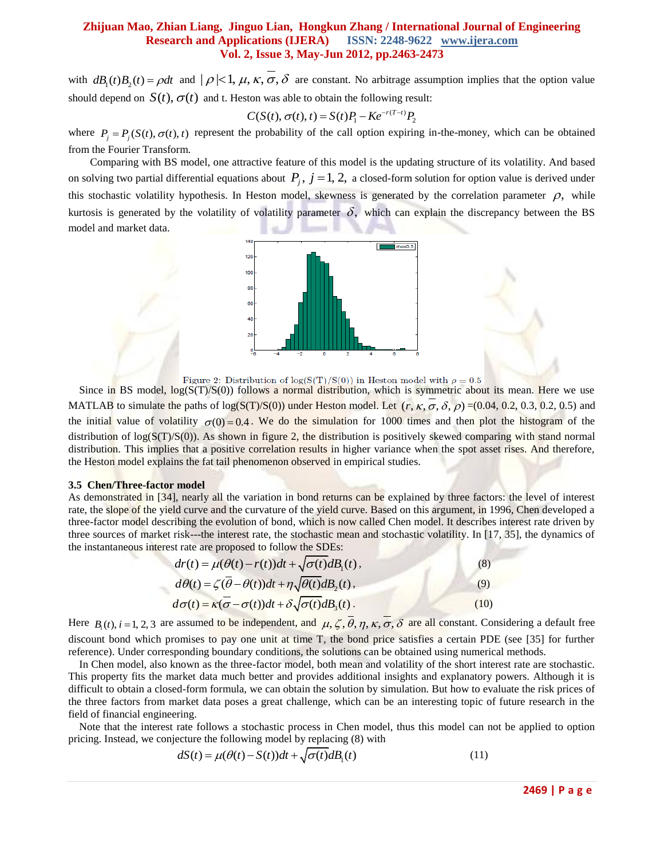with  $dB_1(t)B_2(t) = \rho dt$  and  $|\rho| < 1$ ,  $\mu$ ,  $\kappa$ ,  $\sigma$ ,  $\delta$  are constant. No arbitrage assumption implies that the option value should depend on  $S(t)$ ,  $\sigma(t)$  and t. Heston was able to obtain the following result:<br> $C(S(t), \sigma(t), t) = S(t)P_1 - Ke^{-r(T-t)}P_2$ 

$$
C(S(t), \sigma(t), t) = S(t)P_1 - Ke^{-r(T-t)}P_2
$$

where  $P_j = P_j(S(t), \sigma(t), t)$  represent the probability of the call option expiring in-the-money, which can be obtained from the Fourier Transform.

Comparing with BS model, one attractive feature of this model is the updating structure of its volatility. And based on solving two partial differential equations about  $P_j$ ,  $j = 1, 2$ , a closed-form solution for option value is derived under this stochastic volatility hypothesis. In Heston model, skewness is generated by the correlation parameter  $\rho$ , while kurtosis is generated by the volatility of volatility parameter  $\delta$ , which can explain the discrepancy between the BS model and market data.



Figure 2: Distribution of  $\log(S(T)/S(0))$  in Heston model with  $\rho = 0.5$ 

Since in BS model,  $log(S(T)/S(0))$  follows a normal distribution, which is symmetric about its mean. Here we use MATLAB to simulate the paths of log( $S(T)/S(0)$ ) under Heston model. Let  $(r, \kappa, \sigma, \delta, \rho) = (0.04, 0.2, 0.3, 0.2, 0.5)$  and the initial value of volatility  $\sigma(0) = 0.4$ . We do the simulation for 1000 times and then plot the histogram of the distribution of  $log(S(T)/S(0))$ . As shown in figure 2, the distribution is positively skewed comparing with stand normal distribution. This implies that a positive correlation results in higher variance when the spot asset rises. And therefore, the Heston model explains the fat tail phenomenon observed in empirical studies.

#### **3.5 Chen/Three-factor model**

As demonstrated in [34], nearly all the variation in bond returns can be explained by three factors: the level of interest rate, the slope of the yield curve and the curvature of the yield curve. Based on this argument, in 1996, Chen developed a three-factor model describing the evolution of bond, which is now called Chen model. It describes interest rate driven by three sources of market risk---the interest rate, the stochastic mean and stochastic volatility. In [17, 35], the dynamics of

the instantaneous interest rate are proposed to follow the SDEs:  
\n
$$
dr(t) = \mu(\theta(t) - r(t))dt + \sqrt{\sigma(t)}dB_1(t),
$$
\n
$$
d\theta(t) = \zeta(\bar{\theta} - \theta(t))dt + \eta\sqrt{\theta(t)}dB_2(t),
$$
\n
$$
d\sigma(t) = \kappa(\bar{\sigma} - \sigma(t))dt + \delta\sqrt{\sigma(t)}dB_3(t).
$$
\n(10)

Here  $B_i(t)$ ,  $i = 1, 2, 3$  are assumed to be independent, and  $\mu, \zeta, \overline{\theta}, \eta, \kappa, \overline{\sigma}, \delta$  are all constant. Considering a default free discount bond which promises to pay one unit at time T, the bond price satisfies a certain PDE (see [35] for further reference). Under corresponding boundary conditions, the solutions can be obtained using numerical methods.

 In Chen model, also known as the three-factor model, both mean and volatility of the short interest rate are stochastic. This property fits the market data much better and provides additional insights and explanatory powers. Although it is difficult to obtain a closed-form formula, we can obtain the solution by simulation. But how to evaluate the risk prices of the three factors from market data poses a great challenge, which can be an interesting topic of future research in the field of financial engineering.

 Note that the interest rate follows a stochastic process in Chen model, thus this model can not be applied to option pricing. Instead, we conjecture the following model by replacing (8) with<br>  $dS(t) = \mu(\theta(t) - S(t))dt + \sqrt{\sigma(t)}dB_1(t)$  (11)

$$
dS(t) = \mu(\theta(t) - S(t))dt + \sqrt{\sigma(t)}dB_1(t)
$$
\n(11)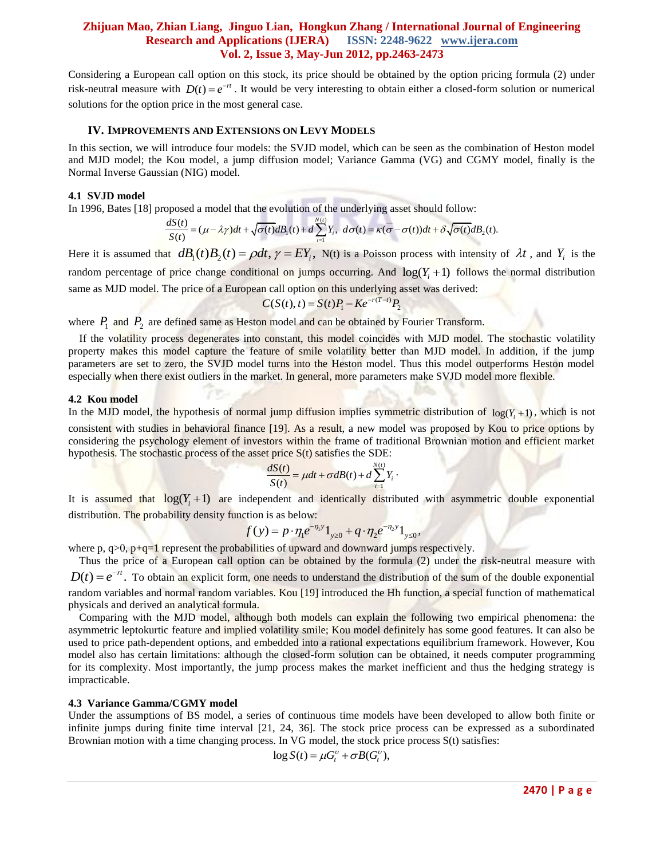Considering a European call option on this stock, its price should be obtained by the option pricing formula (2) under risk-neutral measure with  $D(t) = e^{-rt}$ . It would be very interesting to obtain either a closed-form solution or numerical solutions for the option price in the most general case.

#### **IV. IMPROVEMENTS AND EXTENSIONS ON LEVY MODELS**

In this section, we will introduce four models: the SVJD model, which can be seen as the combination of Heston model and MJD model; the Kou model, a jump diffusion model; Variance Gamma (VG) and CGMY model, finally is the Normal Inverse Gaussian (NIG) model.

#### **4.1 SVJD model**

**4.1 SVJD model**<br>In 1996, Bates [18] proposed a model that the evolution of the underlying asset should follow:<br> $dS(t) = (x - 1)Q(t) = \sqrt{\sum_{i=1}^{N} Y_i} = (x - 1)Q(t) + S(\sqrt{1 - x^2})$ *n*<br>*N*(*t*)

toposed a model that the evolution of the underlying asset should follow:  
\n
$$
\frac{dS(t)}{S(t)} = (\mu - \lambda \gamma)dt + \sqrt{\sigma(t)}dB_1(t) + d\sum_{i=1}^{N(t)} Y_i, d\sigma(t) = \kappa(\sigma - \sigma(t))dt + \delta \sqrt{\sigma(t)}dB_2(t).
$$

Here it is assumed that  $dB_1(t)B_2(t) = \rho dt$ ,  $\gamma = EY_i$ ,  $N(t)$  is a Poisson process with intensity of  $\lambda t$ , and  $Y_i$  is the random percentage of price change conditional on jumps occurring. And  $log(Y<sub>i</sub>+1)$  follows the normal distribution same as MJD model. The price of a European call option on this underlying asset was derived:<br> $C(S(t), t) = S(t)P_1 - Ke^{-r(T-t)}P_2$ 

$$
C(S(t), t) = S(t)P_1 - Ke^{-r(T-t)}I
$$

where  $P_1$  and  $P_2$  are defined same as Heston model and can be obtained by Fourier Transform.

 If the volatility process degenerates into constant, this model coincides with MJD model. The stochastic volatility property makes this model capture the feature of smile volatility better than MJD model. In addition, if the jump parameters are set to zero, the SVJD model turns into the Heston model. Thus this model outperforms Heston model especially when there exist outliers in the market. In general, more parameters make SVJD model more flexible.

#### **4.2 Kou model**

In the MJD model, the hypothesis of normal jump diffusion implies symmetric distribution of  $log(Y<sub>i</sub>+1)$ , which is not consistent with studies in behavioral finance [19]. As a result, a new model was proposed by Kou to price options by considering the psychology element of investors within the frame of traditional Brownian motion and efficient market hypothesis. The stochastic process of the asset price S(t) satisfies the SDE:<br>  $\frac{dS(t)}{S(t)} = \mu dt + \sigma dB(t) + d \sum_{i=1}^{N(t)} Y_i$ 

$$
\frac{dS(t)}{S(t)} = \mu dt + \sigma dB(t) + d \sum_{i=1}^{N(t)} Y_i
$$

It is assumed that  $log(Y_i + 1)$  are independent and identically distributed with asymmetric double exponential distribution. The probability density function is as below:<br> $f(y) = p \cdot \eta_1 e^{-\eta_1 y} 1_{y \ge 0} + q \cdot \eta_2 e^{-\eta_2 y} 1_{y \le 0}$ 

tion is as below:  

$$
f(y) = p \cdot \eta_1 e^{-\eta_1 y} 1_{y \ge 0} + q \cdot \eta_2 e^{-\eta_2 y} 1_{y \le 0}
$$
,

where  $p, q>0, p+q=1$  represent the probabilities of upward and downward jumps respectively.

 Thus the price of a European call option can be obtained by the formula (2) under the risk-neutral measure with  $D(t) = e^{-rt}$ . To obtain an explicit form, one needs to understand the distribution of the sum of the double exponential random variables and normal random variables. Kou [19] introduced the Hh function, a special function of mathematical physicals and derived an analytical formula.

 Comparing with the MJD model, although both models can explain the following two empirical phenomena: the asymmetric leptokurtic feature and implied volatility smile; Kou model definitely has some good features. It can also be used to price path-dependent options, and embedded into a rational expectations equilibrium framework. However, Kou model also has certain limitations: although the closed-form solution can be obtained, it needs computer programming for its complexity. Most importantly, the jump process makes the market inefficient and thus the hedging strategy is impracticable.

#### **4.3 Variance Gamma/CGMY model**

Under the assumptions of BS model, a series of continuous time models have been developed to allow both finite or infinite jumps during finite time interval [21, 24, 36]. The stock price process can be expressed as a subordinated Brownian motion with a time changing process. In VG model, the stock price process S(t) satisfies:<br>  $log S(t) = \mu G_t^v + \sigma B(G_t^v)$ ,

$$
\log S(t) = \mu G_t^{\nu} + \sigma B(G_t^{\nu}),
$$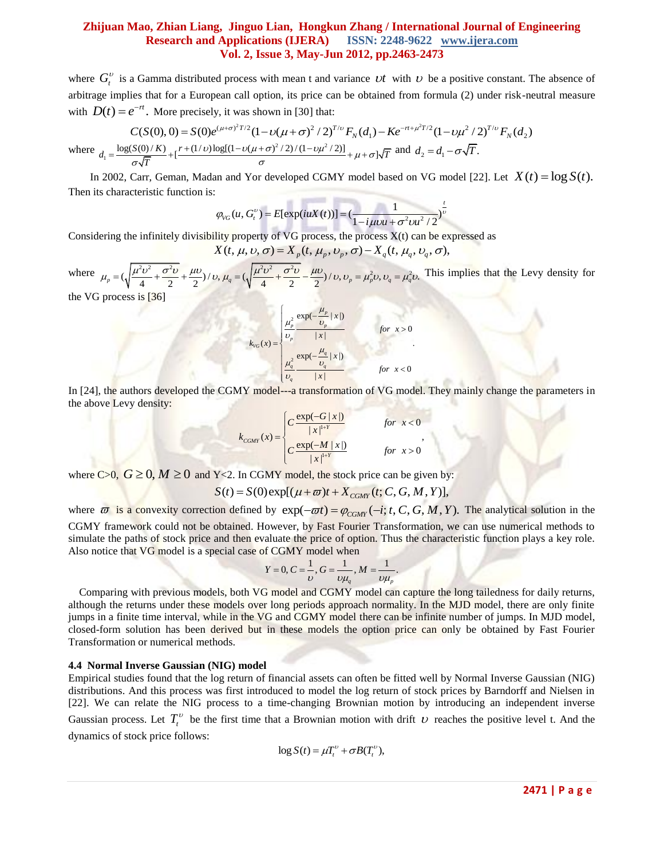where  $G_t^v$  is a Gamma distributed process with mean t and variance  $vt$  with  $v$  be a positive constant. The absence of arbitrage implies that for a European call option, its price can be obtained from formula (2) under risk-neutral measure with  $D(t) = e^{-rt}$ . More precisely, it was shown in [30] that: z et al. et al. et al. et al. et al. et al. et al. et al. et al. et al. et al. et al. et al. et al. et al. et  $(\mu + \sigma)^2 T/2 (1 - \nu(\mu + \sigma)^2 / 2)^{T/\nu} F_N(d_1) - K e^{-rt + \mu^2 T/2} (1 - \nu\mu^2 / 2)^{T/\nu}$ a Gamma distributed process with mean t and variance *Ut* with *U* be a positive constant. T<br>ies that for a European call option, its price can be obtained from formula (2) under risk-ne<br> $e^{-rt}$ . More precisely, it was sho

with 
$$
D(t) = e^t
$$
. More precisely, it was shown in [30] that:  
\n
$$
C(S(0), 0) = S(0)e^{(\mu+\sigma)^2 T/2} (1 - \nu(\mu+\sigma)^2 / 2)^{T/\nu} F_N(d_1) - Ke^{-rt + \mu^2 T/2} (1 - \nu\mu^2 / 2)^{T/\nu} F_N(d_2)
$$
\nwhere  $d_1 = \frac{\log(S(0)/K)}{\sigma \sqrt{T}} + \left[\frac{r + (1/\nu)\log[(1 - \nu(\mu+\sigma)^2 / 2)/(1 - \nu\mu^2 / 2)]}{\sigma} + \mu + \sigma\right] \sqrt{T}$  and  $d_2 = d_1 - \sigma\sqrt{T}$ .

In 2002, Carr, Geman, Madan and Yor developed CGMY model based on VG model [22]. Let  $X(t) = \log S(t)$ . Then its characteristic function is:

:  
\n
$$
\varphi_{VG}(u, G_t^v) = E[\exp(iuX(t))] = \left(\frac{1}{1 - i\mu vu + \sigma^2 vu^2/2}\right)^{\frac{t}{v}}
$$

Considering the infinitely divisibility property of VG process, the process  $X(t)$  can be expressed as

$$
1 - i\mu\nu u + \sigma^2 v u^2 / 2
$$
  
lity property of VG process, the process X(t) can be express  
X(t,  $\mu$ ,  $v$ ,  $\sigma$ ) = X<sub>p</sub>(t,  $\mu_p$ ,  $v_p$ ,  $\sigma$ ) - X<sub>q</sub>(t,  $\mu_q$ ,  $v_q$ ,  $\sigma$ ),

Considering the infinitely divisibility property of VG process, the process  $X(t)$  can<br>  $X(t, \mu, v, \sigma) = X_p(t, \mu_p, v_p, \sigma) - X_q(t, \mu_q, v_p)$ <br>
where  $\mu_p = (\sqrt{\frac{\mu^2 v^2}{4} + \frac{\sigma^2 v}{2}} + \frac{\mu v}{2})/v, \mu_q = (\sqrt{\frac{\mu^2 v^2}{4} + \frac{\sigma^2 v}{2}} - \frac{\mu v}{2})/v, v_p =$ ering the infinitely divisibility property of VG process, the process X(t) can be expre<br>  $X(t, \mu, v, \sigma) = X_p(t, \mu_p, v_p, \sigma) - X_q(t, \mu_q, v_q, \sigma),$ <br>  $\mu_p = (\sqrt{\frac{\mu^2 v^2}{4} + \frac{\sigma^2 v}{2} + \frac{\mu v}{2}})/v, \mu_q = (\sqrt{\frac{\mu^2 v^2}{4} + \frac{\sigma^2 v}{2} - \frac{\mu v}{2}})/v, v_p = \$ This implies that the Levy density for the VG process is [36]

$$
k_{\text{VG}}(x) = \begin{cases} \frac{\mu_p^2}{\nu_p} \frac{\exp(-\frac{\mu_p}{\nu_p} | x |)}{|x|} & \text{for } x > 0\\ \frac{\mu_q^2}{\nu_q} \frac{\exp(-\frac{\mu_q}{\nu_q} | x |)}{|x|} & \text{for } x < 0 \end{cases}
$$

In [24], the authors developed the CGMY model---a transformation of VG model. They mainly change the parameters in the above Levy density:

$$
k_{CGMY}(x) = \begin{cases} C \frac{\exp(-G \mid x \mid)}{\mid x \mid^{1+Y}} & \text{for } x < 0 \\ C \frac{\exp(-M \mid x \mid)}{\mid x \mid^{1+Y}} & \text{for } x > 0 \end{cases}
$$

where C>0,  $G \ge 0$ ,  $M \ge 0$  and Y<2. In CGMY model, the stock price can be given by:<br> $S(t) = S(0) \exp[(\mu + \varpi)t + X_{CGMY}(t; C, G, M, Y)],$ 

$$
S(t) = S(0) \exp[(\mu + \varpi)t + X_{CGMY}(t; C, G, M, Y)].
$$

 $S(t) = S(0) \exp[(\mu + \varpi)t + X_{CGMY}(t; C, G, M, Y)],$ <br>where  $\varpi$  is a convexity correction defined by  $exp(-\varpi t) = \varphi_{CGMY}(-i; t, C, G, M, Y).$  The analytical solution in the CGMY framework could not be obtained. However, by Fast Fourier Transformation, we can use numerical methods to simulate the paths of stock price and then evaluate the price of option. Thus the characteristic function plays a key role. Also notice that VG model is a special case of CGMY model when  $Y = 0, C = \frac{1}{N}, G = \frac{1}{N}$ ,  $M = \frac{1}{N}$ .

$$
Y = 0, C = \frac{1}{\nu}, G = \frac{1}{\nu \mu_q}, M = \frac{1}{\nu \mu_p}.
$$

 Comparing with previous models, both VG model and CGMY model can capture the long tailedness for daily returns, although the returns under these models over long periods approach normality. In the MJD model, there are only finite jumps in a finite time interval, while in the VG and CGMY model there can be infinite number of jumps. In MJD model, closed-form solution has been derived but in these models the option price can only be obtained by Fast Fourier Transformation or numerical methods.

#### **4.4 Normal Inverse Gaussian (NIG) model**

Empirical studies found that the log return of financial assets can often be fitted well by Normal Inverse Gaussian (NIG) distributions. And this process was first introduced to model the log return of stock prices by Barndorff and Nielsen in [22]. We can relate the NIG process to a time-changing Brownian motion by introducing an independent inverse Gaussian process. Let  $T_t^v$  be the first time that a Brownian motion with drift  $v$  reaches the positive level t. And the dynamics of stock price follows:

$$
\log S(t) = \mu T_t^{\nu} + \sigma B(T_t^{\nu}),
$$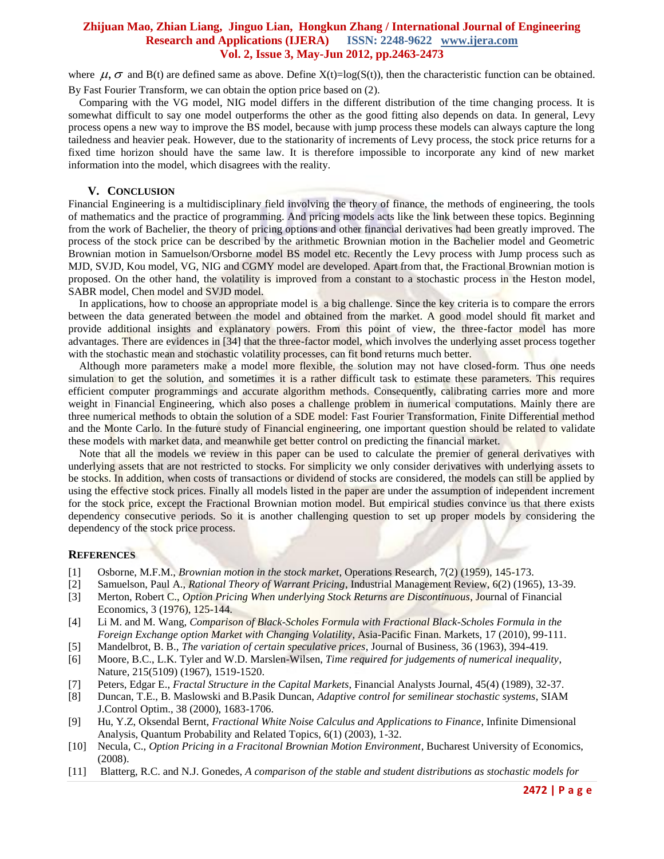where  $\mu$ ,  $\sigma$  and B(t) are defined same as above. Define X(t)=log(S(t)), then the characteristic function can be obtained. By Fast Fourier Transform, we can obtain the option price based on (2).

 Comparing with the VG model, NIG model differs in the different distribution of the time changing process. It is somewhat difficult to say one model outperforms the other as the good fitting also depends on data. In general, Levy process opens a new way to improve the BS model, because with jump process these models can always capture the long tailedness and heavier peak. However, due to the stationarity of increments of Levy process, the stock price returns for a fixed time horizon should have the same law. It is therefore impossible to incorporate any kind of new market information into the model, which disagrees with the reality.

#### **V. CONCLUSION**

Financial Engineering is a multidisciplinary field involving the theory of finance, the methods of engineering, the tools of mathematics and the practice of programming. And pricing models acts like the link between these topics. Beginning from the work of Bachelier, the theory of pricing options and other financial derivatives had been greatly improved. The process of the stock price can be described by the arithmetic Brownian motion in the Bachelier model and Geometric Brownian motion in Samuelson/Orsborne model BS model etc. Recently the Levy process with Jump process such as MJD, SVJD, Kou model, VG, NIG and CGMY model are developed. Apart from that, the Fractional Brownian motion is proposed. On the other hand, the volatility is improved from a constant to a stochastic process in the Heston model, SABR model, Chen model and SVJD model.

 In applications, how to choose an appropriate model is a big challenge. Since the key criteria is to compare the errors between the data generated between the model and obtained from the market. A good model should fit market and provide additional insights and explanatory powers. From this point of view, the three-factor model has more advantages. There are evidences in [34] that the three-factor model, which involves the underlying asset process together with the stochastic mean and stochastic volatility processes, can fit bond returns much better.

 Although more parameters make a model more flexible, the solution may not have closed-form. Thus one needs simulation to get the solution, and sometimes it is a rather difficult task to estimate these parameters. This requires efficient computer programmings and accurate algorithm methods. Consequently, calibrating carries more and more weight in Financial Engineering, which also poses a challenge problem in numerical computations. Mainly there are three numerical methods to obtain the solution of a SDE model: Fast Fourier Transformation, Finite Differential method and the Monte Carlo. In the future study of Financial engineering, one important question should be related to validate these models with market data, and meanwhile get better control on predicting the financial market.

Note that all the models we review in this paper can be used to calculate the premier of general derivatives with underlying assets that are not restricted to stocks. For simplicity we only consider derivatives with underlying assets to be stocks. In addition, when costs of transactions or dividend of stocks are considered, the models can still be applied by using the effective stock prices. Finally all models listed in the paper are under the assumption of independent increment for the stock price, except the Fractional Brownian motion model. But empirical studies convince us that there exists dependency consecutive periods. So it is another challenging question to set up proper models by considering the dependency of the stock price process.

## **REFERENCES**

- [1] Osborne, M.F.M., *Brownian motion in the stock market*, Operations Research, 7(2) (1959), 145-173.
- [2] Samuelson, Paul A., *Rational Theory of Warrant Pricing*, Industrial Management Review, 6(2) (1965), 13-39.
- [3] Merton, Robert C., *Option Pricing When underlying Stock Returns are Discontinuous*, Journal of Financial Economics, 3 (1976), 125-144.
- [4] Li M. and M. Wang, *Comparison of Black-Scholes Formula with Fractional Black-Scholes Formula in the Foreign Exchange option Market with Changing Volatility*, Asia-Pacific Finan. Markets, 17 (2010), 99-111.
- [5] Mandelbrot, B. B., *The variation of certain speculative prices*, Journal of Business, 36 (1963), 394-419.
- [6] Moore, B.C., L.K. Tyler and W.D. Marslen-Wilsen, *Time required for judgements of numerical inequality*, Nature, 215(5109) (1967), 1519-1520.
- [7] Peters, Edgar E., *Fractal Structure in the Capital Markets*, Financial Analysts Journal, 45(4) (1989), 32-37.
- [8] Duncan, T.E., B. Maslowski and B.Pasik Duncan, *Adaptive control for semilinear stochastic systems*, SIAM J.Control Optim., 38 (2000), 1683-1706.
- [9] Hu, Y.Z, Oksendal Bernt, *Fractional White Noise Calculus and Applications to Finance*, Infinite Dimensional Analysis, Quantum Probability and Related Topics, 6(1) (2003), 1-32.
- [10] Necula, C., *Option Pricing in a Fracitonal Brownian Motion Environment*, Bucharest University of Economics, (2008).
- [11] Blatterg, R.C. and N.J. Gonedes, *A comparison of the stable and student distributions as stochastic models for*